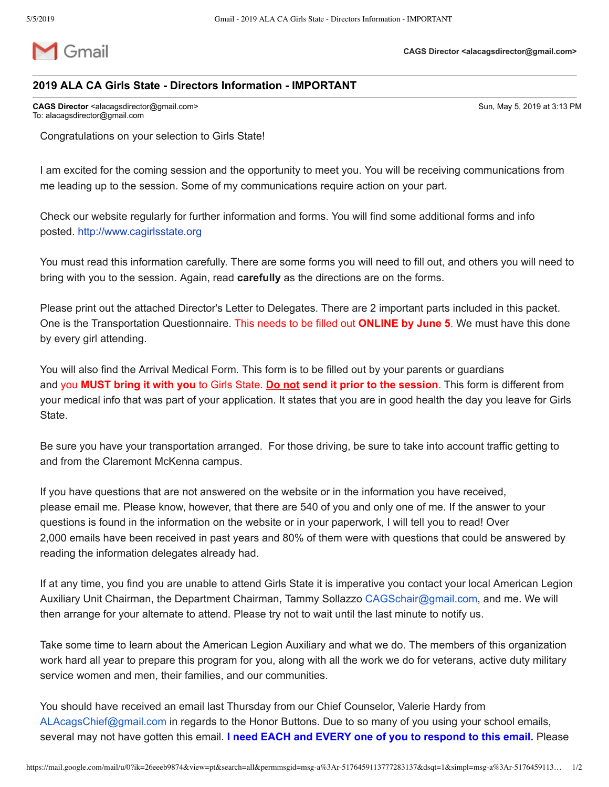

## **2019 ALA CA Girls State Directors Information IMPORTANT**

**CAGS Director** <alacagsdirector@gmail.com> Sun, May 5, 2019 at 3:13 PM To: alacagsdirector@gmail.com

Congratulations on your selection to Girls State!

I am excited for the coming session and the opportunity to meet you. You will be receiving communications from me leading up to the session. Some of my communications require action on your part.

Check our website regularly for further information and forms. You will find some additional forms and info posted. [http://www.cagirlsstate.org](http://www.cagirlsstate.org/delegates-alternates.html#director)

You must read this information carefully. There are some forms you will need to fill out, and others you will need to bring with you to the session. Again, read **carefully** as the directions are on the forms.

Please print out the attached Director's Letter to Delegates. There are 2 important parts included in this packet. One is the Transportation Questionnaire. This needs to be filled out **ONLINE by June 5**. We must have this done by every girl attending.

You will also find the Arrival Medical Form. This form is to be filled out by your parents or guardians and you **MUST bring it with you** to Girls State. **Do not send it prior to the session**. This form is different from your medical info that was part of your application. It states that you are in good health the day you leave for Girls **State** 

Be sure you have your transportation arranged. For those driving, be sure to take into account traffic getting to and from the Claremont McKenna campus.

If you have questions that are not answered on the website or in the information you have received, please email me. Please know, however, that there are 540 of you and only one of me. If the answer to your questions is found in the information on the website or in your paperwork, I will tell you to read! Over 2,000 emails have been received in past years and 80% of them were with questions that could be answered by reading the information delegates already had.

If at any time, you find you are unable to attend Girls State it is imperative you contact your local American Legion Auxiliary Unit Chairman, the Department Chairman, Tammy Sollazzo [CAGSchair@gmail.com](mailto:CAGSchair@gmail.com), and me. We will then arrange for your alternate to attend. Please try not to wait until the last minute to notify us.

Take some time to learn about the American Legion Auxiliary and what we do. The members of this organization work hard all year to prepare this program for you, along with all the work we do for veterans, active duty military service women and men, their families, and our communities.

You should have received an email last Thursday from our Chief Counselor, Valerie Hardy from [ALAcagsChief@gmail.com](mailto:ALAcagsChief@gmail.com) in regards to the Honor Buttons. Due to so many of you using your school emails, several may not have gotten this email. **I need EACH and EVERY one of you to respond to this email.** Please